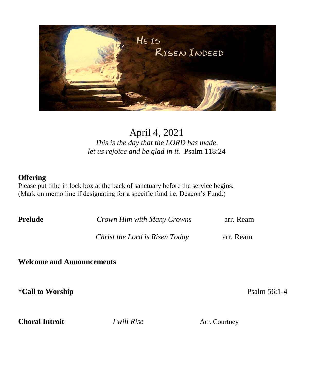

# April 4, 2021

*This is the day that the LORD has made, let us rejoice and be glad in it.* Psalm 118:24

# **Offering**

Please put tithe in lock box at the back of sanctuary before the service begins. (Mark on memo line if designating for a specific fund i.e. Deacon's Fund.)

**Prelude** *Crown Him with Many Crowns* arr. Ream

*Christ the Lord is Risen Today* **arr. Ream** 

**Welcome and Announcements**

**\*Call to Worship** Psalm 56:1-4

**Choral Introit** *I will Rise* Arr. Courtney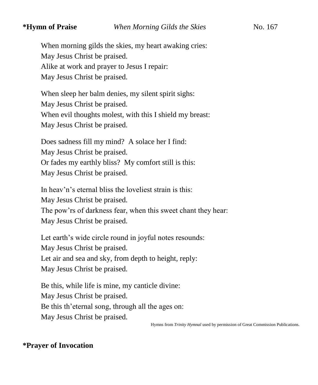When morning gilds the skies, my heart awaking cries: May Jesus Christ be praised. Alike at work and prayer to Jesus I repair: May Jesus Christ be praised.

When sleep her balm denies, my silent spirit sighs: May Jesus Christ be praised. When evil thoughts molest, with this I shield my breast: May Jesus Christ be praised.

Does sadness fill my mind? A solace her I find: May Jesus Christ be praised. Or fades my earthly bliss? My comfort still is this: May Jesus Christ be praised.

In heav'n's eternal bliss the loveliest strain is this: May Jesus Christ be praised. The pow'rs of darkness fear, when this sweet chant they hear: May Jesus Christ be praised.

Let earth's wide circle round in joyful notes resounds: May Jesus Christ be praised. Let air and sea and sky, from depth to height, reply: May Jesus Christ be praised.

Be this, while life is mine, my canticle divine: May Jesus Christ be praised. Be this th'eternal song, through all the ages on: May Jesus Christ be praised.

Hymns from *Trinity Hymnal* used by permission of Great Commission Publications.

# **\*Prayer of Invocation**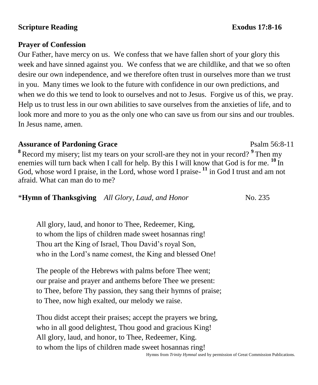# **Scripture Reading Exodus** 17:8-16

# **Prayer of Confession**

Our Father, have mercy on us. We confess that we have fallen short of your glory this week and have sinned against you. We confess that we are childlike, and that we so often desire our own independence, and we therefore often trust in ourselves more than we trust in you. Many times we look to the future with confidence in our own predictions, and when we do this we tend to look to ourselves and not to Jesus. Forgive us of this, we pray. Help us to trust less in our own abilities to save ourselves from the anxieties of life, and to look more and more to you as the only one who can save us from our sins and our troubles. In Jesus name, amen.

# **Assurance of Pardoning Grace**  Psalm 56:8-11

**<sup>8</sup>**Record my misery; list my tears on your scroll-are they not in your record? **<sup>9</sup>**Then my enemies will turn back when I call for help. By this I will know that God is for me. <sup>10</sup>In God, whose word I praise, in the Lord, whose word I praise-<sup>11</sup> in God I trust and am not afraid. What can man do to me?

\***Hymn of Thanksgiving** *All Glory, Laud, and Honor* No. 235

All glory, laud, and honor to Thee, Redeemer, King, to whom the lips of children made sweet hosannas ring! Thou art the King of Israel, Thou David's royal Son, who in the Lord's name comest, the King and blessed One!

The people of the Hebrews with palms before Thee went; our praise and prayer and anthems before Thee we present: to Thee, before Thy passion, they sang their hymns of praise; to Thee, now high exalted, our melody we raise.

Thou didst accept their praises; accept the prayers we bring, who in all good delightest, Thou good and gracious King! All glory, laud, and honor, to Thee, Redeemer, King. to whom the lips of children made sweet hosannas ring!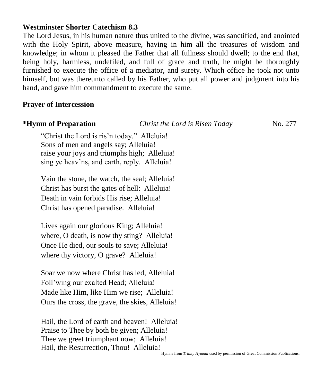## **Westminster Shorter Catechism 8.3**

The Lord Jesus, in his human nature thus united to the divine, was sanctified, and anointed with the Holy Spirit, above measure, having in him all the treasures of wisdom and knowledge; in whom it pleased the Father that all fullness should dwell; to the end that, being holy, harmless, undefiled, and full of grace and truth, he might be thoroughly furnished to execute the office of a mediator, and surety. Which office he took not unto himself, but was thereunto called by his Father, who put all power and judgment into his hand, and gave him commandment to execute the same.

# **Prayer of Intercession**

| *Hymn of Preparation                           | Christ the Lord is Risen Today | No. 277 |
|------------------------------------------------|--------------------------------|---------|
| "Christ the Lord is ris'n today." Alleluia!    |                                |         |
| Sons of men and angels say; Alleluia!          |                                |         |
| raise your joys and triumphs high; Alleluia!   |                                |         |
| sing ye heav'ns, and earth, reply. Alleluia!   |                                |         |
| Vain the stone, the watch, the seal; Alleluia! |                                |         |
| Christ has burst the gates of hell: Alleluia!  |                                |         |
| Death in vain forbids His rise; Alleluia!      |                                |         |
| Christ has opened paradise. Alleluia!          |                                |         |
| Lives again our glorious King; Alleluia!       |                                |         |
| where, O death, is now thy sting? Alleluia!    |                                |         |
| Once He died, our souls to save; Alleluia!     |                                |         |
| where thy victory, O grave? Alleluia!          |                                |         |
| Soar we now where Christ has led, Alleluia!    |                                |         |
| Foll'wing our exalted Head; Alleluia!          |                                |         |
| Made like Him, like Him we rise; Alleluia!     |                                |         |

Hail, the Lord of earth and heaven! Alleluia! Praise to Thee by both be given; Alleluia! Thee we greet triumphant now; Alleluia! Hail, the Resurrection, Thou! Alleluia!

Ours the cross, the grave, the skies, Alleluia!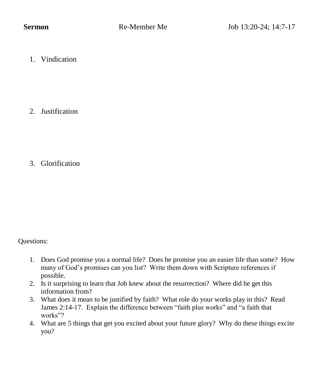1. Vindication

2. Justification

3. Glorification

Questions:

- 1. Does God promise you a normal life? Does he promise you an easier life than some? How many of God's promises can you list? Write them down with Scripture references if possible.
- 2. Is it surprising to learn that Job knew about the resurrection? Where did he get this information from?
- 3. What does it mean to be justified by faith? What role do your works play in this? Read James 2:14-17. Explain the difference between "faith plus works" and "a faith that works"?
- 4. What are 5 things that get you excited about your future glory? Why do these things excite you?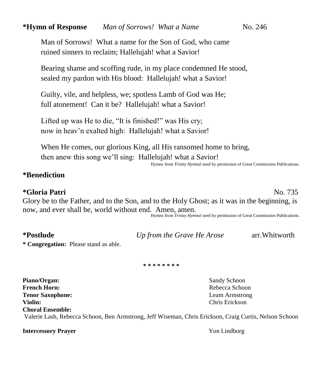Man of Sorrows! What a name for the Son of God, who came ruined sinners to reclaim; Hallelujah! what a Savior!

Bearing shame and scoffing rude, in my place condemned He stood, sealed my pardon with His blood: Hallelujah! what a Savior!

Guilty, vile, and helpless, we; spotless Lamb of God was He; full atonement! Can it be? Hallelujah! what a Savior!

Lifted up was He to die, "It is finished!" was His cry; now in heav'n exalted high: Hallelujah! what a Savior!

When He comes, our glorious King, all His ransomed home to bring, then anew this song we'll sing: Hallelujah! what a Savior!

Hymns from *Trinity Hymnal* used by permission of Great Commission Publications.

#### **\*Benediction**

#### **\*Gloria Patri** No. 735

Glory be to the Father, and to the Son, and to the Holy Ghost; as it was in the beginning, is now, and ever shall be, world without end. Amen, amen.

Hymns from *Trinity Hymnal* used by permission of Great Commission Publications.

| <i>*Postlude</i> |  |
|------------------|--|
|------------------|--|

**\*Postlude** *Up from the Grave He Arose* arr.Whitworth

**\* Congregation:** Please stand as able.

**\* \* \* \* \* \* \* \***

**Piano/Organ:** Sandy Schoon **French Horn:** Rebecca Schoon **Tenor Saxophone:** Leam Armstrong **Violin:** Chris Erickson **Choral Ensemble:** Valerie Lash, Rebecca Schoon, Ben Armstrong, Jeff Wiseman, Chris Erickson, Craig Curtis, Nelson Schoon

**Intercessory Prayer Yon Lindborg**